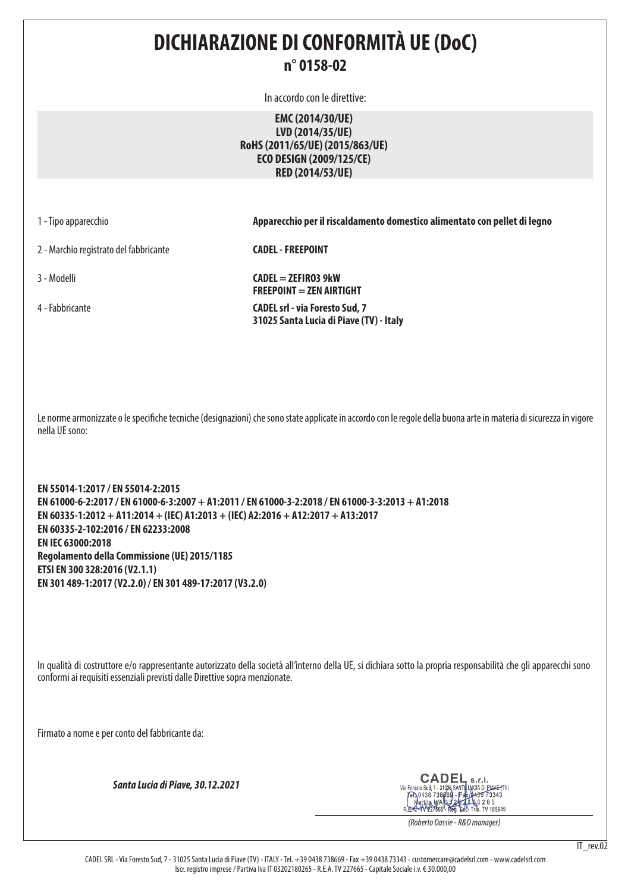### **DICHIARAZIONE DI CONFORMITÀ UE (DoC) n° 0158-02**

In accordo con le direttive:

**EMC (2014/30/UE) LVD (2014/35/UE) RoHS (2011/65/UE) (2015/863/UE) ECO DESIGN (2009/125/CE) RED (2014/53/UE)**

1 - Tipo apparecchio **Apparecchio per il riscaldamento domestico alimentato con pellet di legno**

2 - Marchio registrato del fabbricante **CADEL - FREEPOINT**

3 - Modelli **CADEL = ZEFIRO3 9kW FREEPOINT = ZEN AIRTIGHT** 4 - Fabbricante **CADEL srl - via Foresto Sud, 7 31025 Santa Lucia di Piave (TV) - Italy**

Le norme armonizzate o le specifiche tecniche (designazioni) che sono state applicate in accordo con le regole della buona arte in materia di sicurezza in vigore nella UE sono:

**EN 55014-1:2017 / EN 55014-2:2015 EN 61000-6-2:2017 / EN 61000-6-3:2007 + A1:2011 / EN 61000-3-2:2018 / EN 61000-3-3:2013 + A1:2018 EN 60335-1:2012 + A11:2014 + (IEC) A1:2013 + (IEC) A2:2016 + A12:2017 + A13:2017 EN 60335-2-102:2016 / EN 62233:2008 EN IEC 63000:2018 Regolamento della Commissione (UE) 2015/1185 ETSI EN 300 328:2016 (V2.1.1) EN 301 489-1:2017 (V2.2.0) / EN 301 489-17:2017 (V3.2.0)**

In qualità di costruttore e/o rappresentante autorizzato della società all'interno della UE, si dichiara sotto la propria responsabilità che gli apparecchi sono conformi ai requisiti essenziali previsti dalle Direttive sopra menzionate.

Firmato a nome e per conto del fabbricante da:

*Santa Lucia di Piave, 30.12.2021*

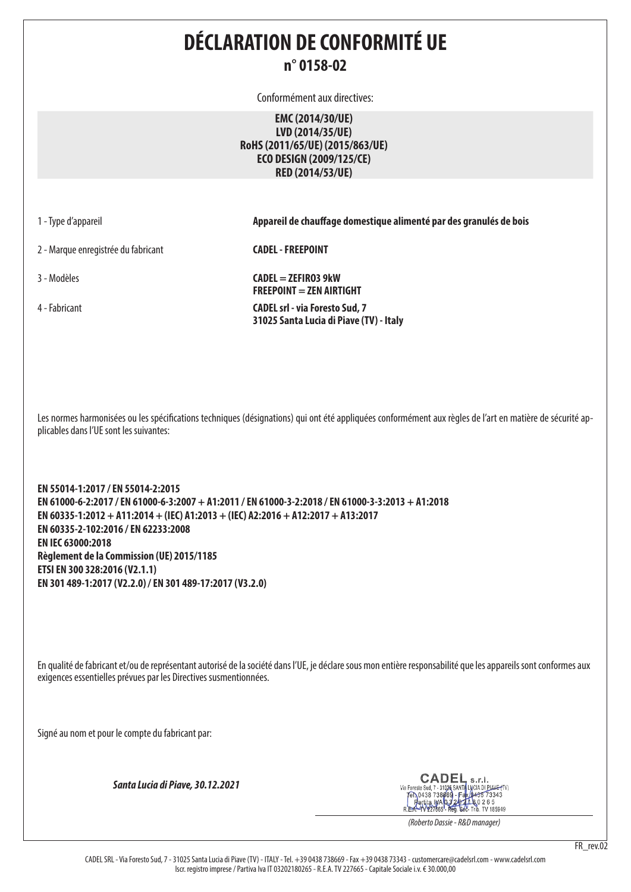## **DÉCLARATION DE CONFORMITÉ UE n° 0158-02**

Conformément aux directives:

**EMC (2014/30/UE) LVD (2014/35/UE) RoHS (2011/65/UE) (2015/863/UE) ECO DESIGN (2009/125/CE) RED (2014/53/UE)**

1 - Type d'appareil **Appareil de chauffage domestique alimenté par des granulés de bois**

2 - Marque enregistrée du fabricant **CADEL - FREEPOINT**

3 - Modèles **CADEL = ZEFIRO3 9kW FREEPOINT = ZEN AIRTIGHT** 4 - Fabricant **CADEL srl - via Foresto Sud, 7 31025 Santa Lucia di Piave (TV) - Italy**

Les normes harmonisées ou les spécifications techniques (désignations) qui ont été appliquées conformément aux règles de l'art en matière de sécurité applicables dans l'UE sont les suivantes:

**EN 55014-1:2017 / EN 55014-2:2015 EN 61000-6-2:2017 / EN 61000-6-3:2007 + A1:2011 / EN 61000-3-2:2018 / EN 61000-3-3:2013 + A1:2018 EN 60335-1:2012 + A11:2014 + (IEC) A1:2013 + (IEC) A2:2016 + A12:2017 + A13:2017 EN 60335-2-102:2016 / EN 62233:2008 EN IEC 63000:2018 Règlement de la Commission (UE) 2015/1185 ETSI EN 300 328:2016 (V2.1.1) EN 301 489-1:2017 (V2.2.0) / EN 301 489-17:2017 (V3.2.0)**

En qualité de fabricant et/ou de représentant autorisé de la société dans l'UE, je déclare sous mon entière responsabilité que les appareils sont conformes aux exigences essentielles prévues par les Directives susmentionnées.

Signé au nom et pour le compte du fabricant par:

*Santa Lucia di Piave, 30.12.2021*

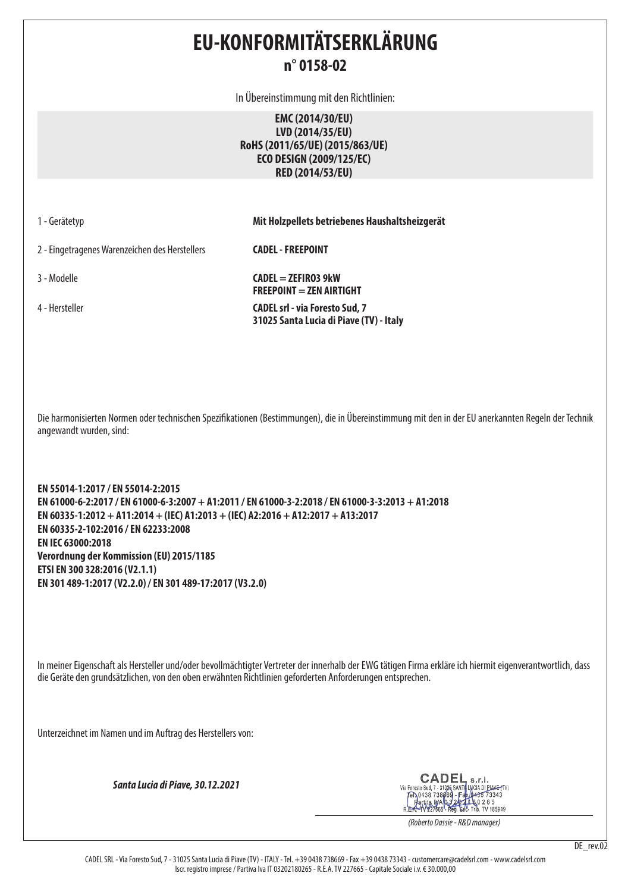## **EU-KONFORMITÄTSERKLÄRUNG n° 0158-02**

In Übereinstimmung mit den Richtlinien:

**EMC (2014/30/EU) LVD (2014/35/EU) RoHS (2011/65/UE) (2015/863/UE) ECO DESIGN (2009/125/EC) RED (2014/53/EU)**

|  | 1 - Gerätetyp |  |
|--|---------------|--|
|  |               |  |

1 - Gerätetyp **Mit Holzpellets betriebenes Haushaltsheizgerät**

2 - Eingetragenes Warenzeichen des Herstellers **CADEL - FREEPOINT**

3 - Modelle **CADEL = ZEFIRO3 9kW FREEPOINT = ZEN AIRTIGHT** 4 - Hersteller **CADEL srl - via Foresto Sud, 7 31025 Santa Lucia di Piave (TV) - Italy**

Die harmonisierten Normen oder technischen Spezifikationen (Bestimmungen), die in Übereinstimmung mit den in der EU anerkannten Regeln der Technik angewandt wurden, sind:

**EN 55014-1:2017 / EN 55014-2:2015 EN 61000-6-2:2017 / EN 61000-6-3:2007 + A1:2011 / EN 61000-3-2:2018 / EN 61000-3-3:2013 + A1:2018 EN 60335-1:2012 + A11:2014 + (IEC) A1:2013 + (IEC) A2:2016 + A12:2017 + A13:2017 EN 60335-2-102:2016 / EN 62233:2008 EN IEC 63000:2018 Verordnung der Kommission (EU) 2015/1185 ETSI EN 300 328:2016 (V2.1.1) EN 301 489-1:2017 (V2.2.0) / EN 301 489-17:2017 (V3.2.0)**

In meiner Eigenschaft als Hersteller und/oder bevollmächtigter Vertreter der innerhalb der EWG tätigen Firma erkläre ich hiermit eigenverantwortlich, dass die Geräte den grundsätzlichen, von den oben erwähnten Richtlinien geforderten Anforderungen entsprechen.

Unterzeichnet im Namen und im Auftrag des Herstellers von:

*Santa Lucia di Piave, 30.12.2021*

CADEL  $c.r.$ Via Foresto Sud, 7 - 31026 SANTA LUCIA DI PIANE-(TV)<br>
FRICA DI 38 738669 - Fax (0435 73343<br>
Partita IMA 03 2021 R 0 2 6 5<br>
R.E.A.-TV 227665 - Reg. Soc-Trib. TV 185949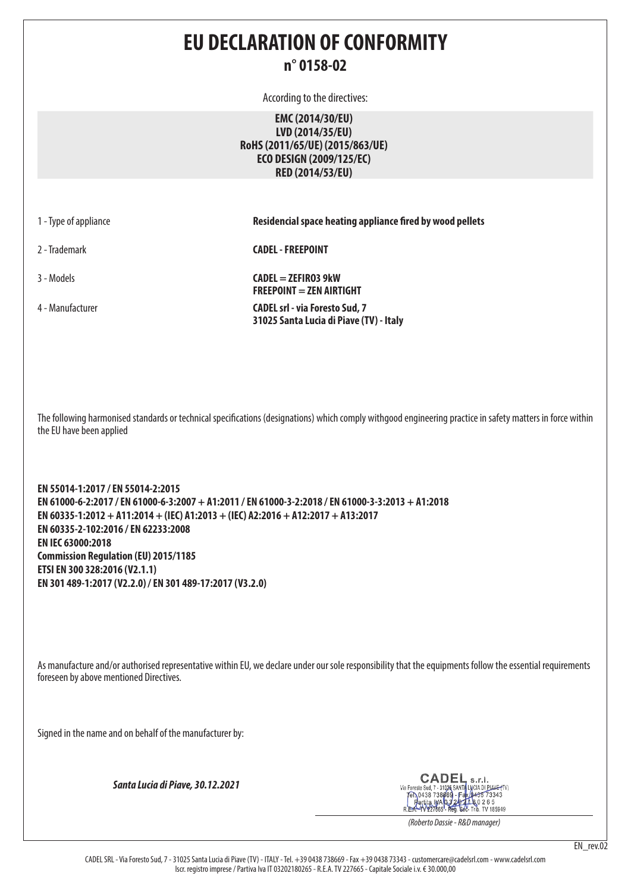## **EU DECLARATION OF CONFORMITY n° 0158-02**

According to the directives:

**EMC (2014/30/EU) LVD (2014/35/EU) RoHS (2011/65/UE) (2015/863/UE) ECO DESIGN (2009/125/EC) RED (2014/53/EU)**

| 1 - Type of appliance |  |  |  |  |  |
|-----------------------|--|--|--|--|--|
|-----------------------|--|--|--|--|--|

**Residencial space heating appliance fired by wood pellets** 

2 - Trademark **CADEL - FREEPOINT**

3 - Models **CADEL = ZEFIRO3 9kW FREEPOINT = ZEN AIRTIGHT** 4 - Manufacturer **CADEL srl - via Foresto Sud, 7 31025 Santa Lucia di Piave (TV) - Italy**

The following harmonised standards or technical specifications (designations) which comply withgood engineering practice in safety matters in force within the EU have been applied

**EN 55014-1:2017 / EN 55014-2:2015 EN 61000-6-2:2017 / EN 61000-6-3:2007 + A1:2011 / EN 61000-3-2:2018 / EN 61000-3-3:2013 + A1:2018 EN 60335-1:2012 + A11:2014 + (IEC) A1:2013 + (IEC) A2:2016 + A12:2017 + A13:2017 EN 60335-2-102:2016 / EN 62233:2008 EN IEC 63000:2018 Commission Regulation (EU) 2015/1185 ETSI EN 300 328:2016 (V2.1.1) EN 301 489-1:2017 (V2.2.0) / EN 301 489-17:2017 (V3.2.0)**

As manufacture and/or authorised representative within EU, we declare under our sole responsibility that the equipments follow the essential requirements foreseen by above mentioned Directives.

Signed in the name and on behalf of the manufacturer by:

*Santa Lucia di Piave, 30.12.2021*

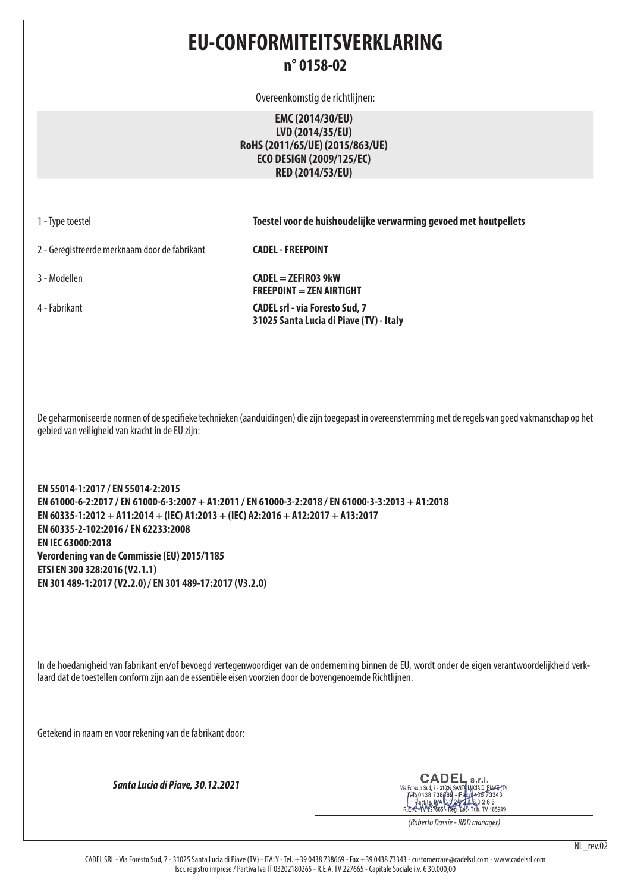## **EU-CONFORMITEITSVERKLARING n° 0158-02**

Overeenkomstig de richtlijnen:

**EMC (2014/30/EU) LVD (2014/35/EU) RoHS (2011/65/UE) (2015/863/UE) ECO DESIGN (2009/125/EC) RED (2014/53/EU)**

1 - Type toestel **Toestel voor de huishoudelijke verwarming gevoed met houtpellets**

2 - Geregistreerde merknaam door de fabrikant **CADEL - FREEPOINT**

3 - Modellen **CADEL = ZEFIRO3 9kW FREEPOINT = ZEN AIRTIGHT** 4 - Fabrikant **CADEL srl - via Foresto Sud, 7 31025 Santa Lucia di Piave (TV) - Italy**

De geharmoniseerde normen of de specifieke technieken (aanduidingen) die zijn toegepast in overeenstemming met de regels van goed vakmanschap op het gebied van veiligheid van kracht in de EU zijn:

**EN 55014-1:2017 / EN 55014-2:2015 EN 61000-6-2:2017 / EN 61000-6-3:2007 + A1:2011 / EN 61000-3-2:2018 / EN 61000-3-3:2013 + A1:2018 EN 60335-1:2012 + A11:2014 + (IEC) A1:2013 + (IEC) A2:2016 + A12:2017 + A13:2017 EN 60335-2-102:2016 / EN 62233:2008 EN IEC 63000:2018 Verordening van de Commissie (EU) 2015/1185 ETSI EN 300 328:2016 (V2.1.1) EN 301 489-1:2017 (V2.2.0) / EN 301 489-17:2017 (V3.2.0)**

In de hoedanigheid van fabrikant en/of bevoegd vertegenwoordiger van de onderneming binnen de EU, wordt onder de eigen verantwoordelijkheid verklaard dat de toestellen conform zijn aan de essentiële eisen voorzien door de bovengenoemde Richtlijnen.

Getekend in naam en voor rekening van de fabrikant door:

*Santa Lucia di Piave, 30.12.2021*



*(Roberto Dassie - R&D manager)*

NL rev.02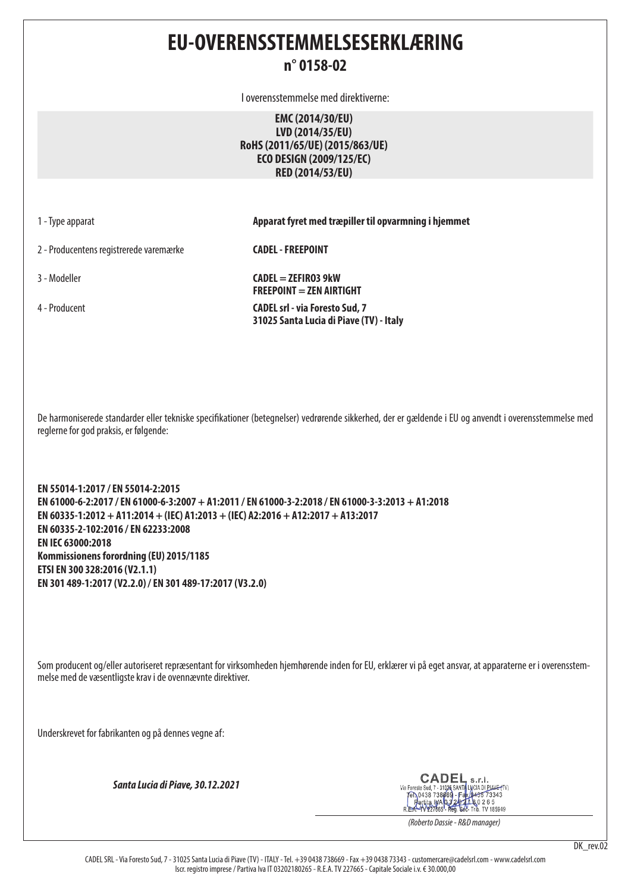# **EU-OVERENSSTEMMELSESERKLÆRING**

#### **n° 0158-02**

I overensstemmelse med direktiverne:

**EMC (2014/30/EU) LVD (2014/35/EU) RoHS (2011/65/UE) (2015/863/UE) ECO DESIGN (2009/125/EC) RED (2014/53/EU)**

1 - Type apparat **Apparat fyret med træpiller til opvarmning i hjemmet**

2 - Producentens registrerede varemærke **CADEL - FREEPOINT**

3 - Modeller **CADEL = ZEFIRO3 9kW FREEPOINT = ZEN AIRTIGHT** 4 - Producent **CADEL srl - via Foresto Sud, 7 31025 Santa Lucia di Piave (TV) - Italy**

De harmoniserede standarder eller tekniske specifikationer (betegnelser) vedrørende sikkerhed, der er gældende i EU og anvendt i overensstemmelse med reglerne for god praksis, er følgende:

**EN 55014-1:2017 / EN 55014-2:2015 EN 61000-6-2:2017 / EN 61000-6-3:2007 + A1:2011 / EN 61000-3-2:2018 / EN 61000-3-3:2013 + A1:2018 EN 60335-1:2012 + A11:2014 + (IEC) A1:2013 + (IEC) A2:2016 + A12:2017 + A13:2017 EN 60335-2-102:2016 / EN 62233:2008 EN IEC 63000:2018 Kommissionens forordning (EU) 2015/1185 ETSI EN 300 328:2016 (V2.1.1) EN 301 489-1:2017 (V2.2.0) / EN 301 489-17:2017 (V3.2.0)**

Som producent og/eller autoriseret repræsentant for virksomheden hjemhørende inden for EU, erklærer vi på eget ansvar, at apparaterne er i overensstemmelse med de væsentligste krav i de ovennævnte direktiver.

Underskrevet for fabrikanten og på dennes vegne af:

*Santa Lucia di Piave, 30.12.2021*

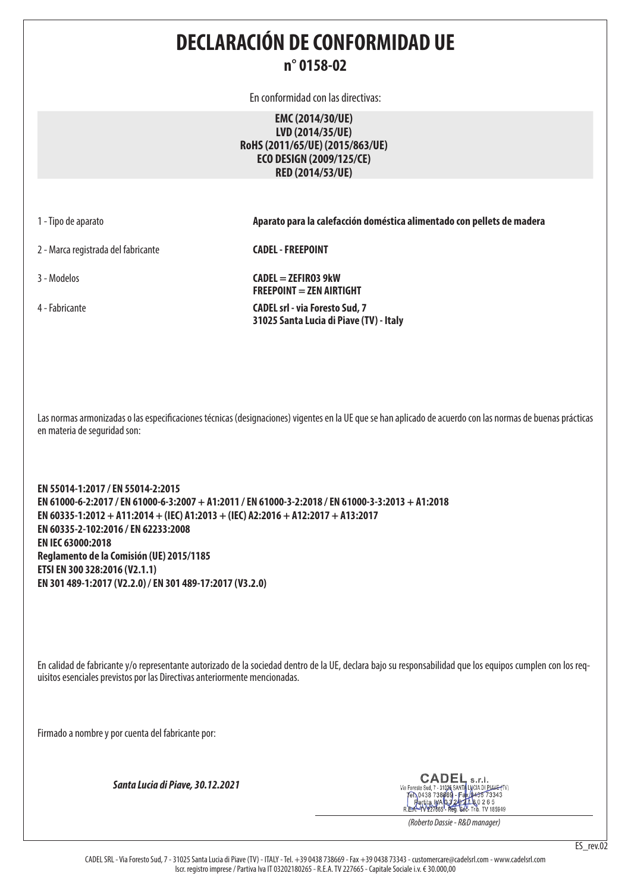## **DECLARACIÓN DE CONFORMIDAD UE n° 0158-02**

En conformidad con las directivas:

**EMC (2014/30/UE) LVD (2014/35/UE) RoHS (2011/65/UE) (2015/863/UE) ECO DESIGN (2009/125/CE) RED (2014/53/UE)**

1 - Tipo de aparato **Aparato para la calefacción doméstica alimentado con pellets de madera**

2 - Marca registrada del fabricante **CADEL - FREEPOINT**

3 - Modelos **CADEL = ZEFIRO3 9kW FREEPOINT = ZEN AIRTIGHT** 4 - Fabricante **CADEL srl - via Foresto Sud, 7 31025 Santa Lucia di Piave (TV) - Italy**

Las normas armonizadas o las especificaciones técnicas (designaciones) vigentes en la UE que se han aplicado de acuerdo con las normas de buenas prácticas en materia de seguridad son:

**EN 55014-1:2017 / EN 55014-2:2015 EN 61000-6-2:2017 / EN 61000-6-3:2007 + A1:2011 / EN 61000-3-2:2018 / EN 61000-3-3:2013 + A1:2018 EN 60335-1:2012 + A11:2014 + (IEC) A1:2013 + (IEC) A2:2016 + A12:2017 + A13:2017 EN 60335-2-102:2016 / EN 62233:2008 EN IEC 63000:2018 Reglamento de la Comisión (UE) 2015/1185 ETSI EN 300 328:2016 (V2.1.1) EN 301 489-1:2017 (V2.2.0) / EN 301 489-17:2017 (V3.2.0)**

En calidad de fabricante y/o representante autorizado de la sociedad dentro de la UE, declara bajo su responsabilidad que los equipos cumplen con los requisitos esenciales previstos por las Directivas anteriormente mencionadas.

Firmado a nombre y por cuenta del fabricante por:

*Santa Lucia di Piave, 30.12.2021*

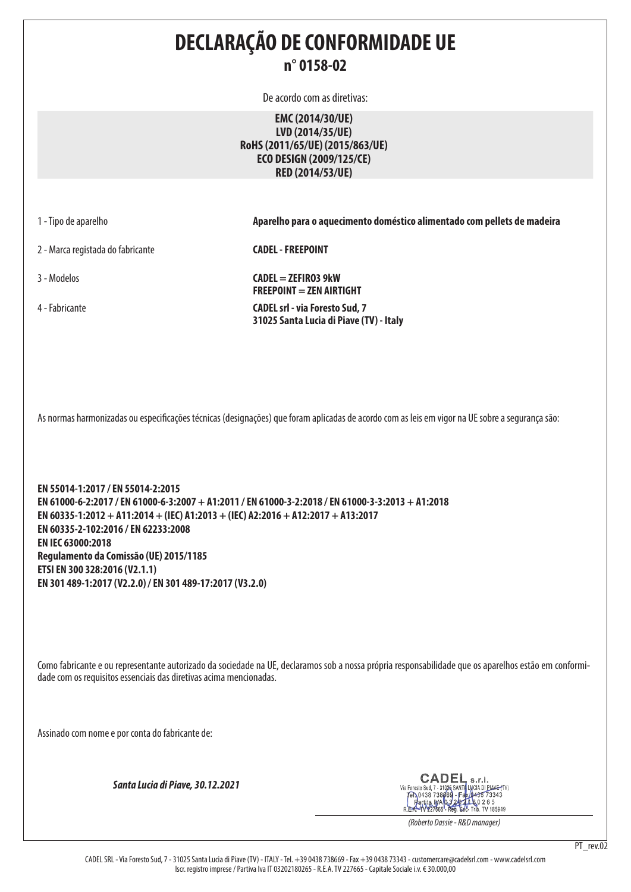## **DECLARAÇÃO DE CONFORMIDADE UE n° 0158-02**

De acordo com as diretivas:

**EMC (2014/30/UE) LVD (2014/35/UE) RoHS (2011/65/UE) (2015/863/UE) ECO DESIGN (2009/125/CE) RED (2014/53/UE)**

1 - Tipo de aparelho **Aparelho para o aquecimento doméstico alimentado com pellets de madeira**

2 - Marca registada do fabricante **CADEL - FREEPOINT**

3 - Modelos **CADEL = ZEFIRO3 9kW FREEPOINT = ZEN AIRTIGHT** 4 - Fabricante **CADEL srl - via Foresto Sud, 7 31025 Santa Lucia di Piave (TV) - Italy**

As normas harmonizadas ou especificações técnicas (designações) que foram aplicadas de acordo com as leis em vigor na UE sobre a segurança são:

**EN 55014-1:2017 / EN 55014-2:2015 EN 61000-6-2:2017 / EN 61000-6-3:2007 + A1:2011 / EN 61000-3-2:2018 / EN 61000-3-3:2013 + A1:2018 EN 60335-1:2012 + A11:2014 + (IEC) A1:2013 + (IEC) A2:2016 + A12:2017 + A13:2017 EN 60335-2-102:2016 / EN 62233:2008 EN IEC 63000:2018 Regulamento da Comissão (UE) 2015/1185 ETSI EN 300 328:2016 (V2.1.1) EN 301 489-1:2017 (V2.2.0) / EN 301 489-17:2017 (V3.2.0)**

Como fabricante e ou representante autorizado da sociedade na UE, declaramos sob a nossa própria responsabilidade que os aparelhos estão em conformidade com os requisitos essenciais das diretivas acima mencionadas.

Assinado com nome e por conta do fabricante de:

*Santa Lucia di Piave, 30.12.2021*

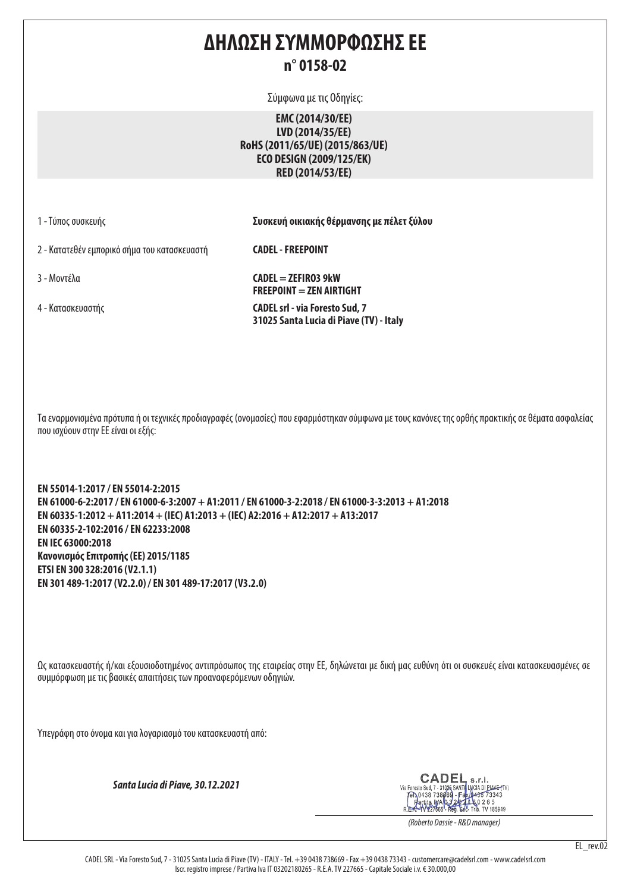## **ΔΗΛΩΣΗ ΣΥΜΜΟΡΦΩΣΗΣ ΕΕ n° 0158-02**

Σύμφωνα με τις Οδηγίες:

**EMC (2014/30/EE) LVD (2014/35/EE) RoHS (2011/65/UE) (2015/863/UE) ECO DESIGN (2009/125/EK) RED (2014/53/EE)**

1 - Τύπος συσκευής **Συσκευή οικιακής θέρμανσης με πέλετ ξύλου**

2 - Κατατεθέν εμπορικό σήμα του κατασκευαστή **CADEL - FREEPOINT**

 $3 - \text{Movfá}$  **CADEL = ZEFIRO3 9kW FREEPOINT = ZEN AIRTIGHT** 4 - Κατασκευαστής **CADEL srl - via Foresto Sud, 7 31025 Santa Lucia di Piave (TV) - Italy**

Τα εναρμονισμένα πρότυπα ή οι τεχνικές προδιαγραφές (ονομασίες) που εφαρμόστηκαν σύμφωνα με τους κανόνες της ορθής πρακτικής σε θέματα ασφαλείας που ισχύουν στην ΕΕ είναι οι εξής:

**EN 55014-1:2017 / EN 55014-2:2015 EN 61000-6-2:2017 / EN 61000-6-3:2007 + A1:2011 / EN 61000-3-2:2018 / EN 61000-3-3:2013 + A1:2018 EN 60335-1:2012 + A11:2014 + (IEC) A1:2013 + (IEC) A2:2016 + A12:2017 + A13:2017 EN 60335-2-102:2016 / EN 62233:2008 EN IEC 63000:2018 Κανονισμός Επιτροπής (ΕΕ) 2015/1185 ETSI EN 300 328:2016 (V2.1.1) EN 301 489-1:2017 (V2.2.0) / EN 301 489-17:2017 (V3.2.0)**

Ως κατασκευαστής ή/και εξουσιοδοτημένος αντιπρόσωπος της εταιρείας στην ΕΕ, δηλώνεται με δική μας ευθύνη ότι οι συσκευές είναι κατασκευασμένες σε συμμόρφωση με τις βασικές απαιτήσεις των προαναφερόμενων οδηγιών.

Υπεγράφη στο όνομα και για λογαριασμό του κατασκευαστή από:

*Santa Lucia di Piave, 30.12.2021*

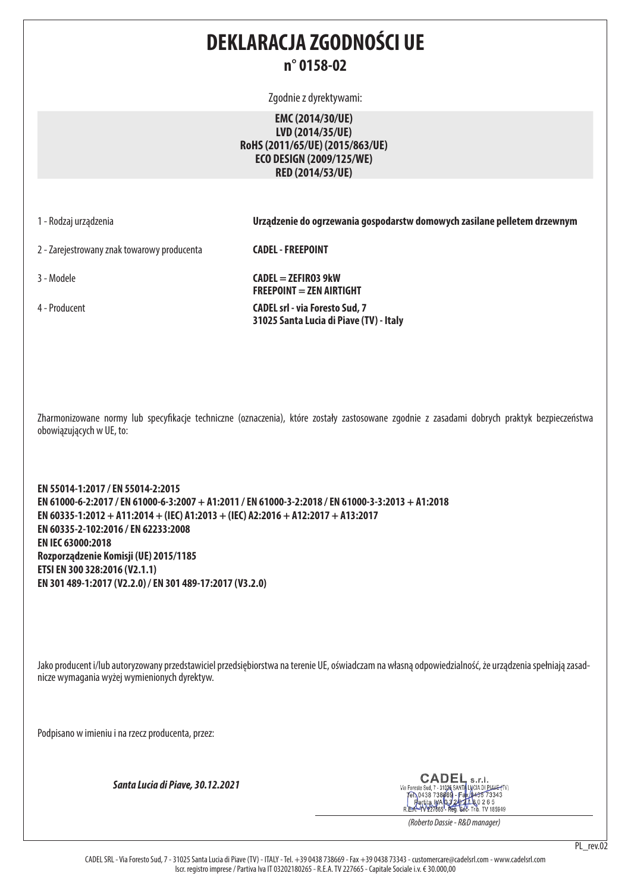## **DEKLARACJA ZGODNOŚCI UE n° 0158-02**

Zgodnie z dyrektywami:

**EMC (2014/30/UE) LVD (2014/35/UE) RoHS (2011/65/UE) (2015/863/UE) ECO DESIGN (2009/125/WE) RED (2014/53/UE)**

1 - Rodzaj urządzenia **Urządzenie do ogrzewania gospodarstw domowych zasilane pelletem drzewnym**

2 - Zarejestrowany znak towarowy producenta **CADEL - FREEPOINT**

3 - Modele **CADEL = ZEFIRO3 9kW FREEPOINT = ZEN AIRTIGHT** 4 - Producent **CADEL srl - via Foresto Sud, 7 31025 Santa Lucia di Piave (TV) - Italy**

Zharmonizowane normy lub specyfikacje techniczne (oznaczenia), które zostały zastosowane zgodnie z zasadami dobrych praktyk bezpieczeństwa obowiązujących w UE, to:

**EN 55014-1:2017 / EN 55014-2:2015 EN 61000-6-2:2017 / EN 61000-6-3:2007 + A1:2011 / EN 61000-3-2:2018 / EN 61000-3-3:2013 + A1:2018 EN 60335-1:2012 + A11:2014 + (IEC) A1:2013 + (IEC) A2:2016 + A12:2017 + A13:2017 EN 60335-2-102:2016 / EN 62233:2008 EN IEC 63000:2018 Rozporządzenie Komisji (UE) 2015/1185 ETSI EN 300 328:2016 (V2.1.1) EN 301 489-1:2017 (V2.2.0) / EN 301 489-17:2017 (V3.2.0)**

Jako producent i/lub autoryzowany przedstawiciel przedsiębiorstwa na terenie UE, oświadczam na własną odpowiedzialność, że urządzenia spełniają zasadnicze wymagania wyżej wymienionych dyrektyw.

Podpisano w imieniu i na rzecz producenta, przez:

*Santa Lucia di Piave, 30.12.2021*